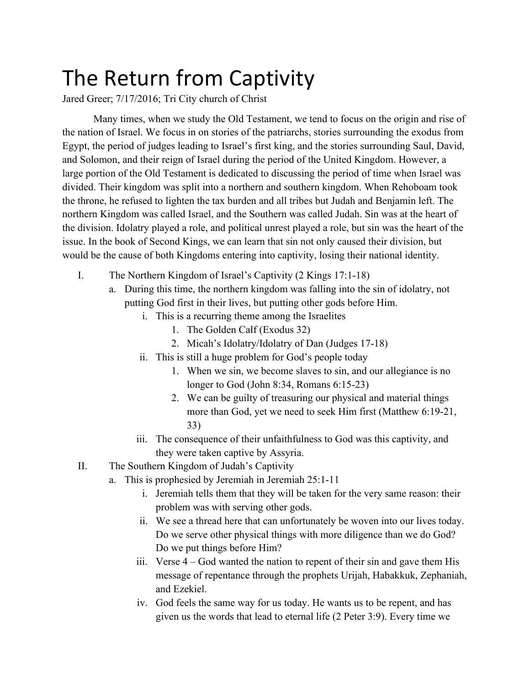## The Return from Captivity

Jared Greer; 7/17/2016; Tri City church of Christ

Many times, when we study the Old Testament, we tend to focus on the origin and rise of the nation of Israel. We focus in on stories of the patriarchs, stories surrounding the exodus from Egypt, the period of judges leading to Israel's first king, and the stories surrounding Saul, David, and Solomon, and their reign of Israel during the period of the United Kingdom. However, a large portion of the Old Testament is dedicated to discussing the period of time when Israel was divided. Their kingdom was split into a northern and southern kingdom. When Rehoboam took the throne, he refused to lighten the tax burden and all tribes but Judah and Benjamin left. The northern Kingdom was called Israel, and the Southern was called Judah. Sin was at the heart of the division. Idolatry played a role, and political unrest played a role, but sin was the heart of the issue. In the book of Second Kings, we can learn that sin not only caused their division, but would be the cause of both Kingdoms entering into captivity, losing their national identity.

- I. The Northern Kingdom of Israel's Captivity (2 Kings 17:1-18)
	- a. During this time, the northern kingdom was falling into the sin of idolatry, not putting God first in their lives, but putting other gods before Him.
		- i. This is a recurring theme among the Israelites
			- 1. The Golden Calf (Exodus 32)
			- 2. Micah's Idolatry/Idolatry of Dan (Judges 17-18)
		- ii. This is still a huge problem for God's people today
			- 1. When we sin, we become slaves to sin, and our allegiance is no longer to God (John 8:34, Romans 6:15-23)
			- 2. We can be guilty of treasuring our physical and material things more than God, yet we need to seek Him first (Matthew 6:19-21, 33)
		- iii. The consequence of their unfaithfulness to God was this captivity, and they were taken captive by Assyria.
- II. The Southern Kingdom of Judah's Captivity
	- a. This is prophesied by Jeremiah in Jeremiah 25:1-11
		- i. Jeremiah tells them that they will be taken for the very same reason: their problem was with serving other gods.
		- ii. We see a thread here that can unfortunately be woven into our lives today. Do we serve other physical things with more diligence than we do God? Do we put things before Him?
		- iii. Verse 4 God wanted the nation to repent of their sin and gave them His message of repentance through the prophets Urijah, Habakkuk, Zephaniah, and Ezekiel.
		- iv. God feels the same way for us today. He wants us to be repent, and has given us the words that lead to eternal life (2 Peter 3:9). Every time we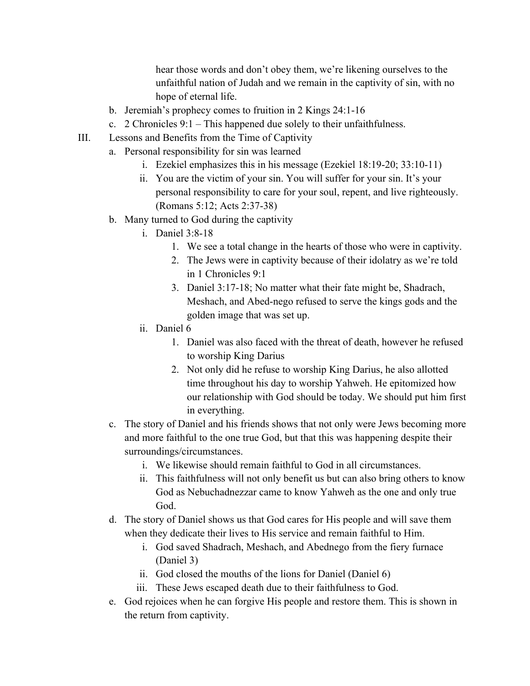hear those words and don't obey them, we're likening ourselves to the unfaithful nation of Judah and we remain in the captivity of sin, with no hope of eternal life.

- b. Jeremiah's prophecy comes to fruition in  $2$  Kings  $24:1-16$
- c. 2 Chronicles 9:1 This happened due solely to their unfaithfulness.
- III. Lessons and Benefits from the Time of Captivity
	- a. Personal responsibility for sin was learned
		- i. Ezekiel emphasizes this in his message (Ezekiel  $18:19-20$ ;  $33:10-11$ )
		- ii. You are the victim of your sin. You will suffer for your sin. It's your personal responsibility to care for your soul, repent, and live righteously. (Romans 5:12; Acts 2:37-38)
		- b. Many turned to God during the captivity
			- i. Daniel 3:8-18
				- 1. We see a total change in the hearts of those who were in captivity.
				- 2. The Jews were in captivity because of their idolatry as we're told in 1 Chronicles 9:1
				- 3. Daniel 3:17-18; No matter what their fate might be, Shadrach, Meshach, and Abed-nego refused to serve the kings gods and the golden image that was set up.
			- ii. Daniel 6
				- 1. Daniel was also faced with the threat of death, however he refused to worship King Darius
				- 2. Not only did he refuse to worship King Darius, he also allotted time throughout his day to worship Yahweh. He epitomized how our relationship with God should be today. We should put him first in everything.
		- c. The story of Daniel and his friends shows that not only were Jews becoming more and more faithful to the one true God, but that this was happening despite their surroundings/circumstances.
			- i. We likewise should remain faithful to God in all circumstances.
			- ii. This faithfulness will not only benefit us but can also bring others to know God as Nebuchadnezzar came to know Yahweh as the one and only true God.
		- d. The story of Daniel shows us that God cares for His people and will save them when they dedicate their lives to His service and remain faithful to Him.
			- i. God saved Shadrach, Meshach, and Abednego from the fiery furnace (Daniel 3)
			- ii. God closed the mouths of the lions for Daniel (Daniel 6)
			- iii. These Jews escaped death due to their faithfulness to God.
		- e. God rejoices when he can forgive His people and restore them. This is shown in the return from captivity.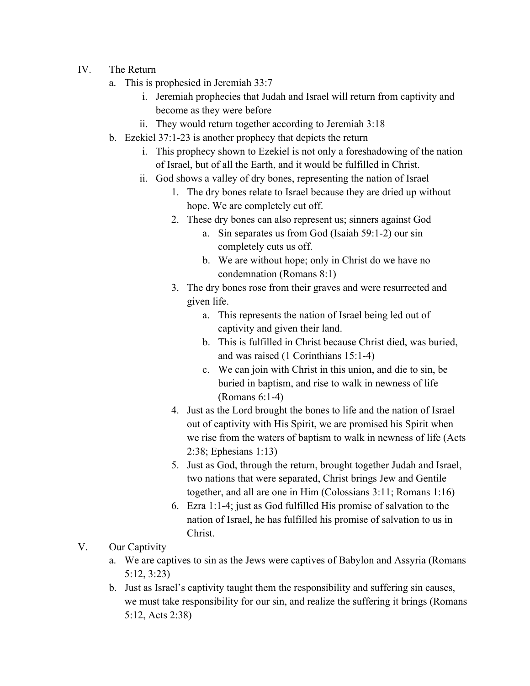- IV. The Return
	- a. This is prophesied in Jeremiah 33:7
		- i. Jeremiah prophecies that Judah and Israel will return from captivity and become as they were before
		- ii. They would return together according to Jeremiah 3:18
	- b. Ezekiel 37:1-23 is another prophecy that depicts the return
		- i. This prophecy shown to Ezekiel is not only a foreshadowing of the nation of Israel, but of all the Earth, and it would be fulfilled in Christ.
		- ii. God shows a valley of dry bones, representing the nation of Israel
			- 1. The dry bones relate to Israel because they are dried up without hope. We are completely cut off.
			- 2. These dry bones can also represent us; sinners against God
				- a. Sin separates us from God (Isaiah 59:1-2) our sin completely cuts us off.
				- b. We are without hope; only in Christ do we have no condemnation (Romans 8:1)
			- 3. The dry bones rose from their graves and were resurrected and given life.
				- a. This represents the nation of Israel being led out of captivity and given their land.
				- b. This is fulfilled in Christ because Christ died, was buried, and was raised (1 Corinthians 15:14)
				- c. We can join with Christ in this union, and die to sin, be buried in baptism, and rise to walk in newness of life  $(Romans 6:1-4)$
			- 4. Just as the Lord brought the bones to life and the nation of Israel out of captivity with His Spirit, we are promised his Spirit when we rise from the waters of baptism to walk in newness of life (Acts 2:38; Ephesians 1:13)
			- 5. Just as God, through the return, brought together Judah and Israel, two nations that were separated, Christ brings Jew and Gentile together, and all are one in Him (Colossians 3:11; Romans 1:16)
			- 6. Ezra 1:1-4; just as God fulfilled His promise of salvation to the nation of Israel, he has fulfilled his promise of salvation to us in Christ.
- V. Our Captivity
	- a. We are captives to sin as the Jews were captives of Babylon and Assyria (Romans 5:12, 3:23)
	- b. Just as Israel's captivity taught them the responsibility and suffering sin causes, we must take responsibility for our sin, and realize the suffering it brings (Romans 5:12, Acts 2:38)